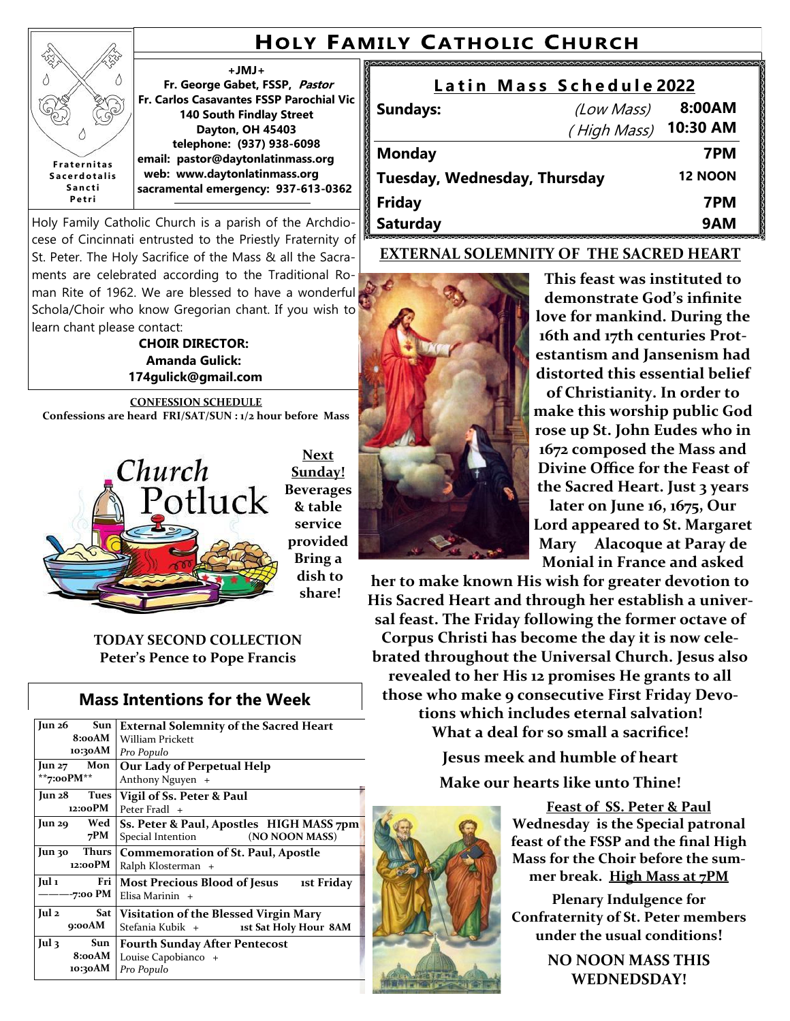# **HOLY FAMILY CATHOLIC CHURCH**

#### **+JMJ+**

**Fr. George Gabet, FSSP, Pastor Fr. Carlos Casavantes FSSP Parochial Vic 140 South Findlay Street Dayton, OH 45403 telephone: (937) 938-6098 email: pastor@daytonlatinmass.org web: www.daytonlatinmass.org sacramental emergency: 937-613-0362 F r a t e r n i t a s S a c e r d o t a l i s** 

Holy Family Catholic Church is a parish of the Archdiocese of Cincinnati entrusted to the Priestly Fraternity of St. Peter. The Holy Sacrifice of the Mass & all the Sacraments are celebrated according to the Traditional Roman Rite of 1962. We are blessed to have a wonderful Schola/Choir who know Gregorian chant. If you wish to learn chant please contact:

**S a n c t i P e t r i**

ż Δ

> **CHOIR DIRECTOR: Amanda Gulick: 174gulick@gmail.com**

**CONFESSION SCHEDULE Confessions are heard FRI/SAT/SUN : 1/2 hour before Mass** 



**Next Sunday! Beverages & table service provided Bring a dish to share!**

**TODAY SECOND COLLECTION Peter's Pence to Pope Francis** 

## **Mass Intentions for the Week**

| Sun<br>Jun 26<br>8:00AM<br>10:30AM               | <b>External Solemnity of the Sacred Heart</b><br>William Prickett<br>Pro Populo |  |
|--------------------------------------------------|---------------------------------------------------------------------------------|--|
| $\text{Jun } 27$ Mon                             | Our Lady of Perpetual Help                                                      |  |
| **7:00 $PM**$                                    | Anthony Nguyen +                                                                |  |
| Jun 28 Tues                                      | Vigil of Ss. Peter & Paul                                                       |  |
| 12:00 PM                                         | Peter Fradl +                                                                   |  |
| Wed                                              | Ss. Peter & Paul, Apostles HIGH MASS 7pm                                        |  |
| Jun 29                                           | (NO NOON MASS)                                                                  |  |
| 7PM                                              | Special Intention                                                               |  |
| Thurs<br>Jun 30<br>12:00PM                       | <b>Commemoration of St. Paul, Apostle</b><br>Ralph Klosterman +                 |  |
| Jul 1                                            | <b>Most Precious Blood of Jesus</b>                                             |  |
| Fri                                              | ist Friday                                                                      |  |
| -7:00 PM                                         | Elisa Marinin +                                                                 |  |
| Jul 2                                            | Visitation of the Blessed Virgin Mary                                           |  |
| Sat                                              | Stefania Kubik +                                                                |  |
| 9:00AM                                           | 1st Sat Holy Hour 8AM                                                           |  |
| $\lceil$ ul 3<br><b>Sun</b><br>8:00AM<br>10:30AM | <b>Fourth Sunday After Pentecost</b><br>Louise Capobianco +<br>Pro Populo       |  |

| Latin Mass Schedule 2022     |                      |                |
|------------------------------|----------------------|----------------|
| <b>Sundays:</b>              | (Low Mass)           | 8:00AM         |
|                              | (High Mass) 10:30 AM |                |
| <b>Monday</b>                |                      | 7PM            |
| Tuesday, Wednesday, Thursday |                      | <b>12 NOON</b> |
| <b>Friday</b>                |                      | 7PM            |
| <b>Saturday</b>              |                      | 9AM            |

### **EXTERNAL SOLEMNITY OF THE SACRED HEART**



**This feast was instituted to demonstrate God's infinite love for mankind. During the 16th and 17th centuries Protestantism and Jansenism had distorted this essential belief** 

**of Christianity. In order to make this worship public God rose up St. John Eudes who in 1672 composed the Mass and Divine Office for the Feast of the Sacred Heart. Just 3 years** 

**later on June 16, 1675, Our Lord appeared to St. Margaret Mary Alacoque at Paray de Monial in France and asked** 

**her to make known His wish for greater devotion to His Sacred Heart and through her establish a universal feast. The Friday following the former octave of Corpus Christi has become the day it is now celebrated throughout the Universal Church. Jesus also revealed to her His 12 promises He grants to all those who make 9 consecutive First Friday Devotions which includes eternal salvation! What a deal for so small a sacrifice!**

> **Jesus meek and humble of heart Make our hearts like unto Thine!**

> > **Feast of SS. Peter & Paul Wednesday is the Special patronal feast of the FSSP and the final High Mass for the Choir before the summer break. High Mass at 7PM**

> > **Plenary Indulgence for Confraternity of St. Peter members under the usual conditions!**

> > > **NO NOON MASS THIS WEDNEDSDAY!**